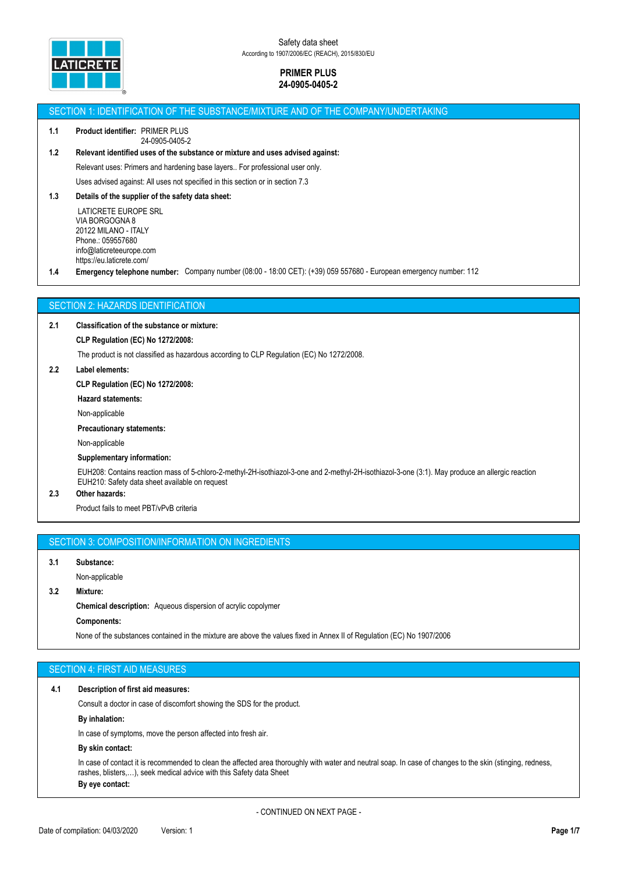

### SECTION 1: IDENTIFICATION OF THE SUBSTANCE/MIXTURE AND OF THE COMPANY/UNDERTAKING

#### **1.1 Product identifier:** PRIMER PLUS 24-0905-0405-2

# **1.2 Relevant identified uses of the substance or mixture and uses advised against:**

Relevant uses: Primers and hardening base layers.. For professional user only.

Uses advised against: All uses not specified in this section or in section 7.3

# **1.3 Details of the supplier of the safety data sheet:**

 LATICRETE EUROPE SRL VIA BORGOGNA 8 20122 MILANO - ITALY Phone.: 059557680 info@laticreteeurope.com https://eu.laticrete.com/

**1.4 Emergency telephone number:** Company number (08:00 - 18:00 CET): (+39) 059 557680 - European emergency number: 112

# SECTION 2: HAZARDS IDENTIFICATION

### **2.1 Classification of the substance or mixture:**

### **CLP Regulation (EC) No 1272/2008:**

The product is not classified as hazardous according to CLP Regulation (EC) No 1272/2008.

### **2.2 Label elements:**

### **CLP Regulation (EC) No 1272/2008:**

**Hazard statements:**

Non-applicable

### **Precautionary statements:**

Non-applicable

### **Supplementary information:**

EUH208: Contains reaction mass of 5-chloro-2-methyl-2H-isothiazol-3-one and 2-methyl-2H-isothiazol-3-one (3:1). May produce an allergic reaction EUH210: Safety data sheet available on request

# **2.3 Other hazards:**

Product fails to meet PBT/vPvB criteria

# SECTION 3: COMPOSITION/INFORMATION ON INGREDIENTS

### **3.1 Substance:**

Non-applicable

# **3.2 Mixture:**

**Chemical description:** Aqueous dispersion of acrylic copolymer

#### **Components:**

None of the substances contained in the mixture are above the values fixed in Annex II of Regulation (EC) No 1907/2006

# SECTION 4: FIRST AID MEASURES

### **4.1 Description of first aid measures:**

Consult a doctor in case of discomfort showing the SDS for the product.

# **By inhalation:**

In case of symptoms, move the person affected into fresh air.

### **By skin contact:**

In case of contact it is recommended to clean the affected area thoroughly with water and neutral soap. In case of changes to the skin (stinging, redness, rashes, blisters,…), seek medical advice with this Safety data Sheet **By eye contact:**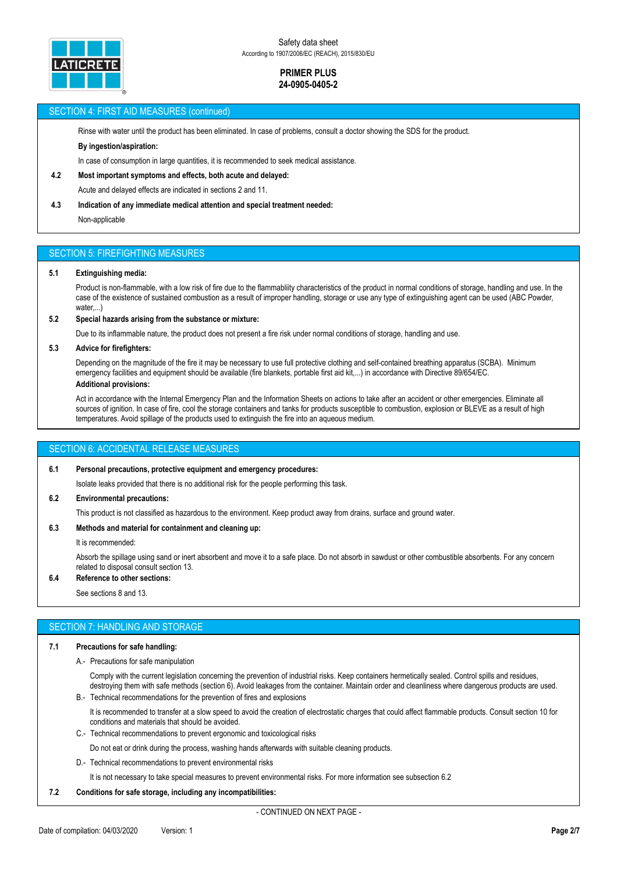

# SECTION 4: FIRST AID MEASURES (continued)

Rinse with water until the product has been eliminated. In case of problems, consult a doctor showing the SDS for the product.

### **By ingestion/aspiration:**

In case of consumption in large quantities, it is recommended to seek medical assistance.

# **4.2 Most important symptoms and effects, both acute and delayed:**

Acute and delayed effects are indicated in sections 2 and 11.

# **4.3 Indication of any immediate medical attention and special treatment needed:**

Non-applicable

# SECTION 5: FIREFIGHTING MEASURES

### **5.1 Extinguishing media:**

Product is non-flammable, with a low risk of fire due to the flammabliity characteristics of the product in normal conditions of storage, handling and use. In the case of the existence of sustained combustion as a result of improper handling, storage or use any type of extinguishing agent can be used (ABC Powder, water,...)

### **5.2 Special hazards arising from the substance or mixture:**

Due to its inflammable nature, the product does not present a fire risk under normal conditions of storage, handling and use.

### **5.3 Advice for firefighters:**

Depending on the magnitude of the fire it may be necessary to use full protective clothing and self-contained breathing apparatus (SCBA). Minimum emergency facilities and equipment should be available (fire blankets, portable first aid kit,...) in accordance with Directive 89/654/EC. **Additional provisions:**

### Act in accordance with the Internal Emergency Plan and the Information Sheets on actions to take after an accident or other emergencies. Eliminate all sources of ignition. In case of fire, cool the storage containers and tanks for products susceptible to combustion, explosion or BLEVE as a result of high temperatures. Avoid spillage of the products used to extinguish the fire into an aqueous medium.

# SECTION 6: ACCIDENTAL RELEASE MEASURES

### **6.1 Personal precautions, protective equipment and emergency procedures:**

Isolate leaks provided that there is no additional risk for the people performing this task.

### **6.2 Environmental precautions:**

This product is not classified as hazardous to the environment. Keep product away from drains, surface and ground water.

# **6.3 Methods and material for containment and cleaning up:**

It is recommended:

Absorb the spillage using sand or inert absorbent and move it to a safe place. Do not absorb in sawdust or other combustible absorbents. For any concern related to disposal consult section 13.

# **6.4 Reference to other sections:**

See sections 8 and 13.

# SECTION 7: HANDLING AND STORAGE

### **7.1 Precautions for safe handling:**

A.- Precautions for safe manipulation

Comply with the current legislation concerning the prevention of industrial risks. Keep containers hermetically sealed. Control spills and residues, destroying them with safe methods (section 6). Avoid leakages from the container. Maintain order and cleanliness where dangerous products are used.

B.- Technical recommendations for the prevention of fires and explosions

It is recommended to transfer at a slow speed to avoid the creation of electrostatic charges that could affect flammable products. Consult section 10 for conditions and materials that should be avoided.

C.- Technical recommendations to prevent ergonomic and toxicological risks

Do not eat or drink during the process, washing hands afterwards with suitable cleaning products.

D.- Technical recommendations to prevent environmental risks

It is not necessary to take special measures to prevent environmental risks. For more information see subsection 6.2

### **7.2 Conditions for safe storage, including any incompatibilities:**

- CONTINUED ON NEXT PAGE -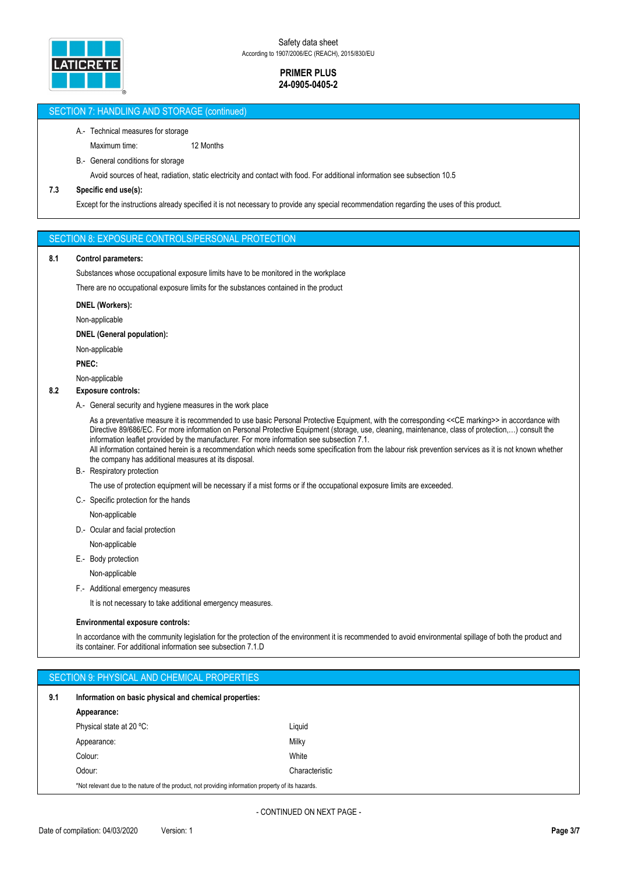

# SECTION 7: HANDLING AND STORAGE (continued)

# A.- Technical measures for storage

Maximum time: 12 Months

B.- General conditions for storage

Avoid sources of heat, radiation, static electricity and contact with food. For additional information see subsection 10.5

# **7.3 Specific end use(s):**

Except for the instructions already specified it is not necessary to provide any special recommendation regarding the uses of this product.

### SECTION 8: EXPOSURE CONTROLS/PERSONAL PROTECTION

### **8.1 Control parameters:**

Substances whose occupational exposure limits have to be monitored in the workplace

There are no occupational exposure limits for the substances contained in the product

#### **DNEL (Workers):**

Non-applicable

### **DNEL (General population):**

Non-applicable

**PNEC:**

Non-applicable

# **8.2 Exposure controls:**

A.- General security and hygiene measures in the work place

As a preventative measure it is recommended to use basic Personal Protective Equipment, with the corresponding <<CE marking>> in accordance with Directive 89/686/EC. For more information on Personal Protective Equipment (storage, use, cleaning, maintenance, class of protection,…) consult the information leaflet provided by the manufacturer. For more information see subsection 7.1.

All information contained herein is a recommendation which needs some specification from the labour risk prevention services as it is not known whether the company has additional measures at its disposal.

B.- Respiratory protection

The use of protection equipment will be necessary if a mist forms or if the occupational exposure limits are exceeded.

C.- Specific protection for the hands

Non-applicable

D.- Ocular and facial protection

Non-applicable

E.- Body protection

Non-applicable

F.- Additional emergency measures

It is not necessary to take additional emergency measures.

#### **Environmental exposure controls:**

In accordance with the community legislation for the protection of the environment it is recommended to avoid environmental spillage of both the product and its container. For additional information see subsection 7.1.D

|     | SECTION 9: PHYSICAL AND CHEMICAL PROPERTIES                                                        |                |  |  |  |  |  |
|-----|----------------------------------------------------------------------------------------------------|----------------|--|--|--|--|--|
| 9.1 | Information on basic physical and chemical properties:                                             |                |  |  |  |  |  |
|     | Appearance:                                                                                        |                |  |  |  |  |  |
|     | Physical state at 20 °C:                                                                           | Liquid         |  |  |  |  |  |
|     | Appearance:                                                                                        | Milky          |  |  |  |  |  |
|     | Colour:                                                                                            | White          |  |  |  |  |  |
|     | Odour:                                                                                             | Characteristic |  |  |  |  |  |
|     | *Not relevant due to the nature of the product, not providing information property of its hazards. |                |  |  |  |  |  |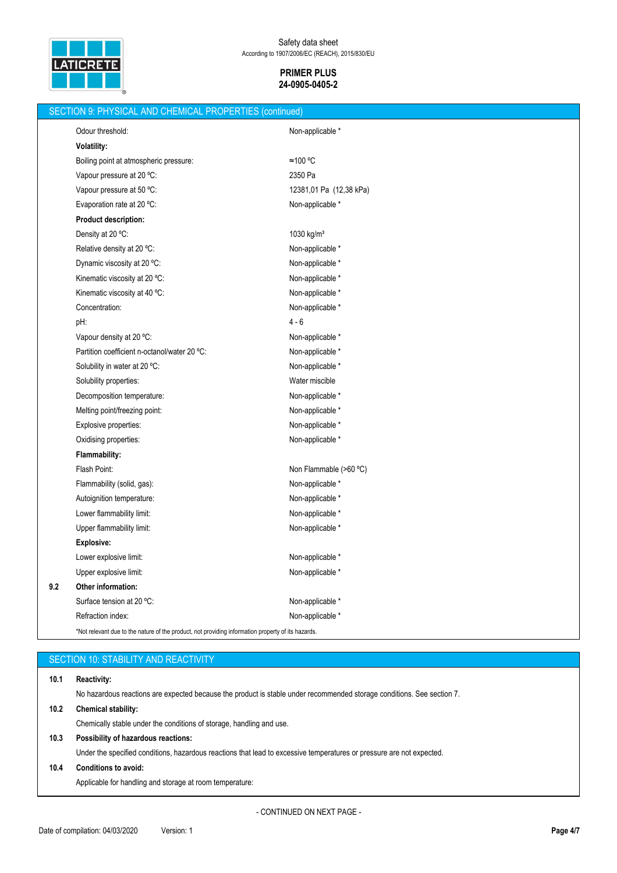

| SECTION 9: PHYSICAL AND CHEMICAL PROPERTIES (continued) |                                                                                                    |                         |  |  |  |
|---------------------------------------------------------|----------------------------------------------------------------------------------------------------|-------------------------|--|--|--|
|                                                         | Odour threshold:                                                                                   | Non-applicable *        |  |  |  |
|                                                         | <b>Volatility:</b>                                                                                 |                         |  |  |  |
|                                                         | Boiling point at atmospheric pressure:                                                             | ≈100 °C                 |  |  |  |
|                                                         | Vapour pressure at 20 °C:                                                                          | 2350 Pa                 |  |  |  |
|                                                         | Vapour pressure at 50 °C:                                                                          | 12381,01 Pa (12,38 kPa) |  |  |  |
|                                                         | Evaporation rate at 20 °C:                                                                         | Non-applicable *        |  |  |  |
|                                                         | <b>Product description:</b>                                                                        |                         |  |  |  |
|                                                         | Density at 20 °C:                                                                                  | 1030 kg/m <sup>3</sup>  |  |  |  |
|                                                         | Relative density at 20 °C:                                                                         | Non-applicable *        |  |  |  |
|                                                         | Dynamic viscosity at 20 °C:                                                                        | Non-applicable *        |  |  |  |
|                                                         | Kinematic viscosity at 20 °C:                                                                      | Non-applicable *        |  |  |  |
|                                                         | Kinematic viscosity at 40 °C:                                                                      | Non-applicable *        |  |  |  |
|                                                         | Concentration:                                                                                     | Non-applicable *        |  |  |  |
|                                                         | pH:                                                                                                | $4 - 6$                 |  |  |  |
|                                                         | Vapour density at 20 °C:                                                                           | Non-applicable *        |  |  |  |
|                                                         | Partition coefficient n-octanol/water 20 °C:                                                       | Non-applicable *        |  |  |  |
|                                                         | Solubility in water at 20 °C:                                                                      | Non-applicable *        |  |  |  |
|                                                         | Solubility properties:                                                                             | Water miscible          |  |  |  |
|                                                         | Decomposition temperature:                                                                         | Non-applicable *        |  |  |  |
|                                                         | Melting point/freezing point:                                                                      | Non-applicable *        |  |  |  |
|                                                         | Explosive properties:                                                                              | Non-applicable *        |  |  |  |
|                                                         | Oxidising properties:                                                                              | Non-applicable *        |  |  |  |
|                                                         | <b>Flammability:</b>                                                                               |                         |  |  |  |
|                                                         | Flash Point:                                                                                       | Non Flammable (>60 °C)  |  |  |  |
|                                                         | Flammability (solid, gas):                                                                         | Non-applicable *        |  |  |  |
|                                                         | Autoignition temperature:                                                                          | Non-applicable *        |  |  |  |
|                                                         | Lower flammability limit:                                                                          | Non-applicable *        |  |  |  |
|                                                         | Upper flammability limit:                                                                          | Non-applicable *        |  |  |  |
|                                                         | <b>Explosive:</b>                                                                                  |                         |  |  |  |
|                                                         | Lower explosive limit:                                                                             | Non-applicable *        |  |  |  |
|                                                         | Upper explosive limit:                                                                             | Non-applicable *        |  |  |  |
| 9.2                                                     | Other information:                                                                                 |                         |  |  |  |
|                                                         | Surface tension at 20 °C:                                                                          | Non-applicable *        |  |  |  |
|                                                         | Refraction index:                                                                                  | Non-applicable *        |  |  |  |
|                                                         | *Not relevant due to the nature of the product, not providing information property of its hazards. |                         |  |  |  |

# **10.1 Reactivity:**

No hazardous reactions are expected because the product is stable under recommended storage conditions. See section 7.

# **10.2 Chemical stability:**

Chemically stable under the conditions of storage, handling and use.

# **10.3 Possibility of hazardous reactions:**

Under the specified conditions, hazardous reactions that lead to excessive temperatures or pressure are not expected.

# **10.4 Conditions to avoid:**

Applicable for handling and storage at room temperature: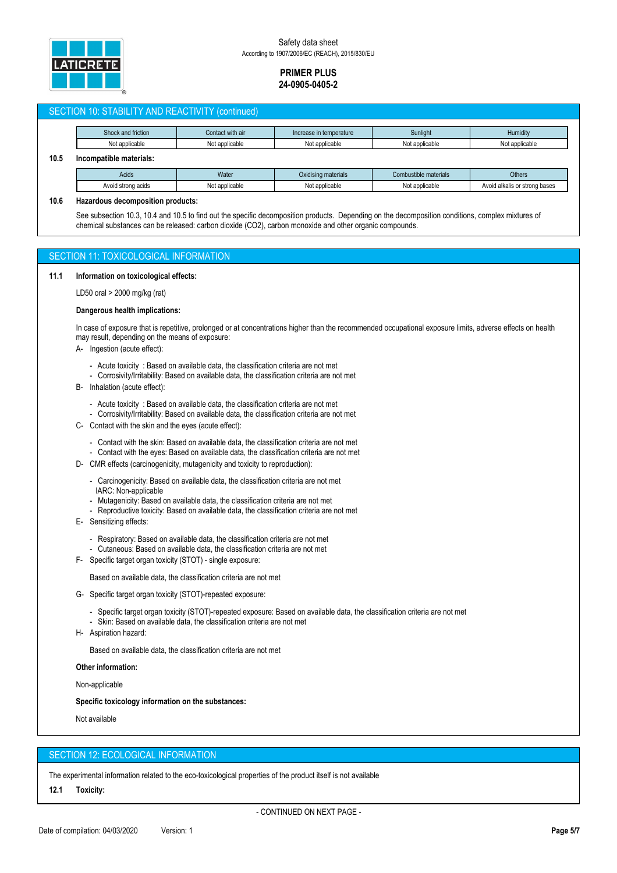

# SECTION 10: STABILITY AND REACTIVITY (continued)

|      | Shock and friction      | Contact with air | Increase in temperature | Sunlight              | Humidity                      |  |
|------|-------------------------|------------------|-------------------------|-----------------------|-------------------------------|--|
|      | Not applicable          | Not applicable   | Not applicable          | Not applicable        | Not applicable                |  |
| 10.5 | Incompatible materials: |                  |                         |                       |                               |  |
|      | Acids                   | Water            | Oxidising materials     | Combustible materials | <b>Others</b>                 |  |
|      | Avoid strong acids      | Not applicable   | Not applicable          | Not applicable        | Avoid alkalis or strong bases |  |

### **10.6 Hazardous decomposition products:**

See subsection 10.3, 10.4 and 10.5 to find out the specific decomposition products. Depending on the decomposition conditions, complex mixtures of chemical substances can be released: carbon dioxide (CO2), carbon monoxide and other organic compounds.

# SECTION 11: TOXICOLOGICAL INFORMATION

### **11.1 Information on toxicological effects:**

LD50 oral > 2000 mg/kg (rat)

## **Dangerous health implications:**

In case of exposure that is repetitive, prolonged or at concentrations higher than the recommended occupational exposure limits, adverse effects on health may result, depending on the means of exposure:

- A- Ingestion (acute effect):
	- Acute toxicity : Based on available data, the classification criteria are not met
	- Corrosivity/Irritability: Based on available data, the classification criteria are not met
- B- Inhalation (acute effect):
	- Acute toxicity : Based on available data, the classification criteria are not met
	- Corrosivity/Irritability: Based on available data, the classification criteria are not met
- C- Contact with the skin and the eyes (acute effect):
	- Contact with the skin: Based on available data, the classification criteria are not met
	- Contact with the eyes: Based on available data, the classification criteria are not met
- D- CMR effects (carcinogenicity, mutagenicity and toxicity to reproduction):
	- Carcinogenicity: Based on available data, the classification criteria are not met IARC: Non-applicable
	- Mutagenicity: Based on available data, the classification criteria are not met
	- Reproductive toxicity: Based on available data, the classification criteria are not met
- E- Sensitizing effects:
	- Respiratory: Based on available data, the classification criteria are not met
	- Cutaneous: Based on available data, the classification criteria are not met
- F- Specific target organ toxicity (STOT) single exposure:

Based on available data, the classification criteria are not met

- G- Specific target organ toxicity (STOT)-repeated exposure:
	- Specific target organ toxicity (STOT)-repeated exposure: Based on available data, the classification criteria are not met - Skin: Based on available data, the classification criteria are not met
- H- Aspiration hazard:

Based on available data, the classification criteria are not met

### **Other information:**

Non-applicable

#### **Specific toxicology information on the substances:**

Not available

# SECTION 12: ECOLOGICAL INFORMATION

The experimental information related to the eco-toxicological properties of the product itself is not available

**12.1 Toxicity:**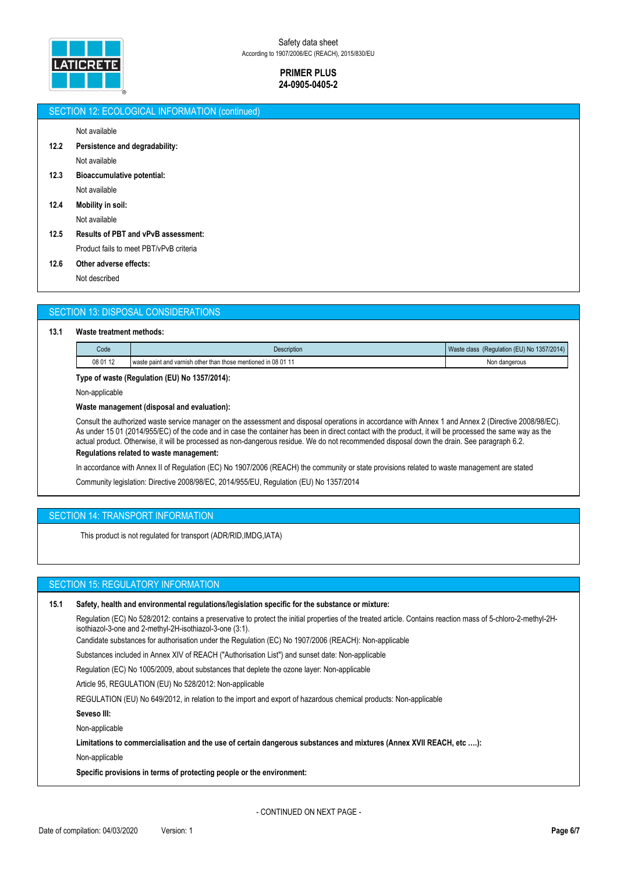

# SECTION 12: ECOLOGICAL INFORMATION (continued)

Not available

- **12.2 Persistence and degradability:**
	- Not available
- **12.3 Bioaccumulative potential:**
- Not available **12.4 Mobility in soil:**

Not available

- **12.5 Results of PBT and vPvB assessment:** Product fails to meet PBT/vPvB criteria
- **12.6 Other adverse effects:**

Not described

# SECTION 13: DISPOSAL CONSIDERATIONS

### **13.1 Waste treatment methods:**

| Code     | <b>Description</b>                                          | (Regulation (EU) No 1357/2014)<br>Waste class |
|----------|-------------------------------------------------------------|-----------------------------------------------|
| 08 01 12 | waste paint and varnish other than those mentioned in 08 01 | Non dangerous<br>.                            |

# **Type of waste (Regulation (EU) No 1357/2014):**

Non-applicable

# **Waste management (disposal and evaluation):**

Consult the authorized waste service manager on the assessment and disposal operations in accordance with Annex 1 and Annex 2 (Directive 2008/98/EC). As under 15 01 (2014/955/EC) of the code and in case the container has been in direct contact with the product, it will be processed the same way as the actual product. Otherwise, it will be processed as non-dangerous residue. We do not recommended disposal down the drain. See paragraph 6.2. **Regulations related to waste management:**

In accordance with Annex II of Regulation (EC) No 1907/2006 (REACH) the community or state provisions related to waste management are stated Community legislation: Directive 2008/98/EC, 2014/955/EU, Regulation (EU) No 1357/2014

# SECTION 14: TRANSPORT INFORMATION

This product is not regulated for transport (ADR/RID,IMDG,IATA)

# SECTION 15: REGULATORY INFORMATION

### **15.1 Safety, health and environmental regulations/legislation specific for the substance or mixture:**

Regulation (EC) No 528/2012: contains a preservative to protect the initial properties of the treated article. Contains reaction mass of 5-chloro-2-methyl-2Hisothiazol-3-one and 2-methyl-2H-isothiazol-3-one (3:1).

Candidate substances for authorisation under the Regulation (EC) No 1907/2006 (REACH): Non-applicable

Substances included in Annex XIV of REACH ("Authorisation List") and sunset date: Non-applicable

Regulation (EC) No 1005/2009, about substances that deplete the ozone layer: Non-applicable

Article 95, REGULATION (EU) No 528/2012: Non-applicable

REGULATION (EU) No 649/2012, in relation to the import and export of hazardous chemical products: Non-applicable

# **Seveso III:**

Non-applicable

**Limitations to commercialisation and the use of certain dangerous substances and mixtures (Annex XVII REACH, etc ….):**

Non-applicable

**Specific provisions in terms of protecting people or the environment:**